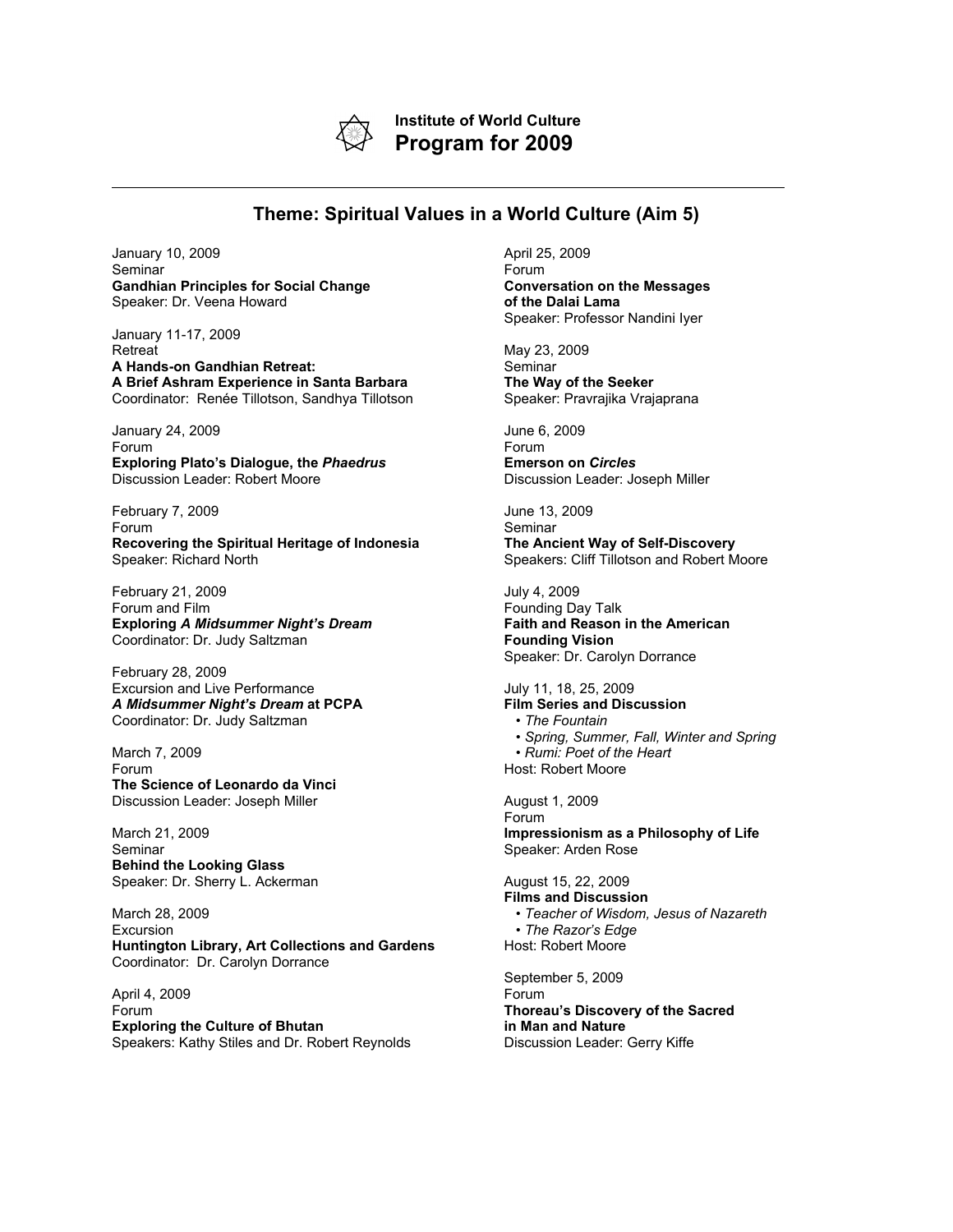

**Institute of World Culture Program for 2009**

## **Theme: Spiritual Values in a World Culture (Aim 5)**

January 10, 2009 Seminar **Gandhian Principles for Social Change** Speaker: Dr. Veena Howard

January 11-17, 2009 **Retreat A Hands-on Gandhian Retreat: A Brief Ashram Experience in Santa Barbara** Coordinator: Renée Tillotson, Sandhya Tillotson

January 24, 2009 Forum **Exploring Plato's Dialogue, the** *Phaedrus* Discussion Leader: Robert Moore

February 7, 2009 Forum **Recovering the Spiritual Heritage of Indonesia** Speaker: Richard North

February 21, 2009 Forum and Film **Exploring** *A Midsummer Night's Dream* Coordinator: Dr. Judy Saltzman

February 28, 2009 Excursion and Live Performance *A Midsummer Night's Dream* **at PCPA** Coordinator: Dr. Judy Saltzman

March 7, 2009 Forum **The Science of Leonardo da Vinci** Discussion Leader: Joseph Miller

March 21, 2009 Seminar **Behind the Looking Glass** Speaker: Dr. Sherry L. Ackerman

March 28, 2009 Excursion **Huntington Library, Art Collections and Gardens** Coordinator: Dr. Carolyn Dorrance

April 4, 2009 Forum **Exploring the Culture of Bhutan** Speakers: Kathy Stiles and Dr. Robert Reynolds April 25, 2009 Forum **Conversation on the Messages of the Dalai Lama** Speaker: Professor Nandini Iyer

May 23, 2009 Seminar **The Way of the Seeker** Speaker: Pravrajika Vrajaprana

June 6, 2009 Forum **Emerson on** *Circles* Discussion Leader: Joseph Miller

June 13, 2009 Seminar **The Ancient Way of Self-Discovery** Speakers: Cliff Tillotson and Robert Moore

July 4, 2009 Founding Day Talk **Faith and Reason in the American Founding Vision** Speaker: Dr. Carolyn Dorrance

July 11, 18, 25, 2009 **Film Series and Discussion**

- *The Fountain* • *Spring, Summer, Fall, Winter and Spring*
- *Rumi: Poet of the Heart*
- Host: Robert Moore

August 1, 2009 Forum **Impressionism as a Philosophy of Life** Speaker: Arden Rose

August 15, 22, 2009 **Films and Discussion** • *Teacher of Wisdom, Jesus of Nazareth* • *The Razor's Edge* Host: Robert Moore

September 5, 2009 Forum **Thoreau's Discovery of the Sacred in Man and Nature** Discussion Leader: Gerry Kiffe